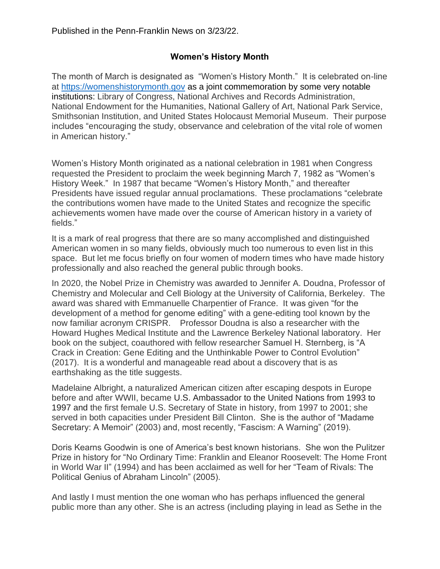## **Women's History Month**

The month of March is designated as "Women's History Month." It is celebrated on-line at [https://womenshistorymonth.gov](https://womenshistorymonth.gov/about/) as a joint commemoration by some very notable institutions: Library of Congress, National Archives and Records Administration, National Endowment for the Humanities, National Gallery of Art, National Park Service, Smithsonian Institution, and United States Holocaust Memorial Museum. Their purpose includes "encouraging the study, observance and celebration of the vital role of women in American history."

Women's History Month originated as a national celebration in 1981 when Congress requested the President to proclaim the week beginning March 7, 1982 as "Women's History Week." In 1987 that became "Women's History Month," and thereafter Presidents have issued regular annual proclamations. These proclamations "celebrate the contributions women have made to the United States and recognize the specific achievements women have made over the course of American history in a variety of fields."

It is a mark of real progress that there are so many accomplished and distinguished American women in so many fields, obviously much too numerous to even list in this space. But let me focus briefly on four women of modern times who have made history professionally and also reached the general public through books.

In 2020, the Nobel Prize in Chemistry was awarded to Jennifer A. Doudna, Professor of Chemistry and Molecular and Cell Biology at the University of California, Berkeley. The award was shared with Emmanuelle Charpentier of France. It was given "for the development of a method for genome editing" with a gene-editing tool known by the now familiar acronym CRISPR. Professor Doudna is also a researcher with the Howard Hughes Medical Institute and the Lawrence Berkeley National laboratory. Her book on the subject, coauthored with fellow researcher Samuel H. Sternberg, is "A Crack in Creation: Gene Editing and the Unthinkable Power to Control Evolution" (2017). It is a wonderful and manageable read about a discovery that is as earthshaking as the title suggests.

Madelaine Albright, a naturalized American citizen after escaping despots in Europe before and after WWII, became U.S. Ambassador to the United Nations from 1993 to 1997 and the first female U.S. Secretary of State in history, from 1997 to 2001; she served in both capacities under President Bill Clinton. She is the author of "Madame Secretary: A Memoir" (2003) and, most recently, "Fascism: A Warning" (2019).

Doris Kearns Goodwin is one of America's best known historians. She won the Pulitzer Prize in history for "No Ordinary Time: Franklin and Eleanor Roosevelt: The Home Front in World War II" (1994) and has been acclaimed as well for her "Team of Rivals: The Political Genius of Abraham Lincoln" (2005).

And lastly I must mention the one woman who has perhaps influenced the general public more than any other. She is an actress (including playing in lead as Sethe in the